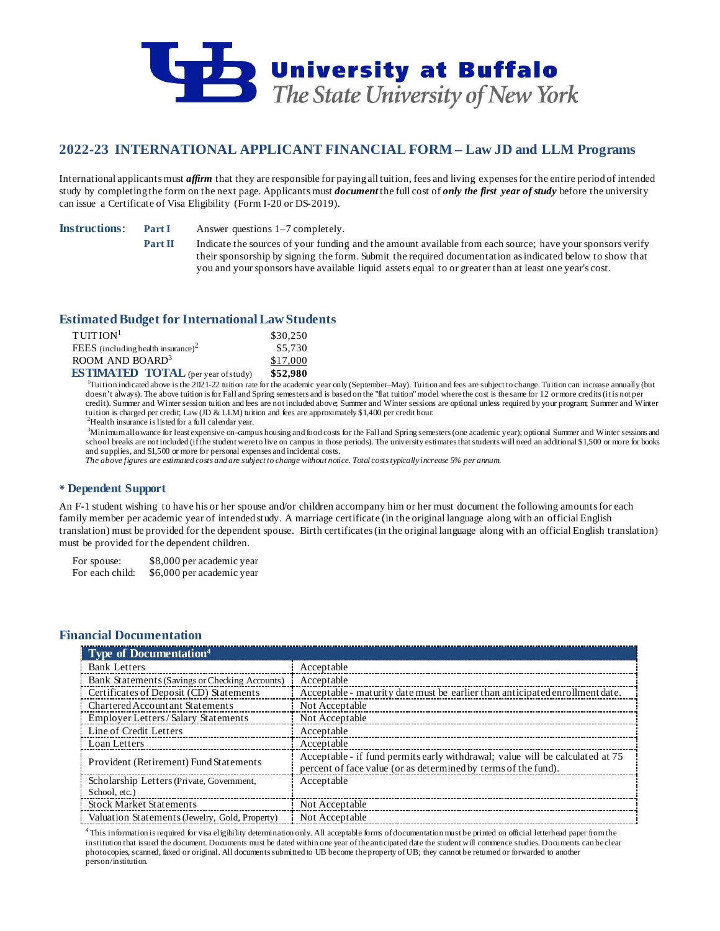

# **2022-23 INTERNATIONAL APPLICANT FINANCIAL FORM – Law JD and LLM Programs**

International applicants must *affirm* that they are responsible for paying all tuition, fees and living expenses for the entire period of intended study by completing the form on the next page. Applicants must *document* the full cost of *only the first year of study* before the university can issue a Certificate of Visa Eligibility (Form I-20 or DS-2019).

**Instructions: Part I** Answer questions 1–7 completely.

**Part II** Indicate the sources of your funding and the amount available from each source; have your sponsors verify their sponsorship by signing the form. Submit the required documentation as indicated below to show that you and your sponsors have available liquid assets equal to or greater than at least one year's cost.

# **Estimated Budget for International LawStudents**

| $T$ UITION <sup>1</sup>                        | \$30,250  |
|------------------------------------------------|-----------|
| FEES (including health insurance) <sup>2</sup> | \$5,730   |
| ROOM AND BOARD <sup>3</sup>                    | \$17,000  |
| <b>EXTIMATED TOTAL</b>                         | $E_7$ nen |

**ESTIMATED TOTAL** (per year of study) \$52,980<br><sup>1</sup>Tuition indicated above is the 2021-22 tuition rate for the academic year only (September–May). Tuition and fees are subject to change. Tuition can increase annually (but doesn't always). The above tuition is for Fall and Spring semesters and is based on the "flat tuition" model where the cost is the same for 12 or more credits (it is not per credit). Summer and Winter session tuition and fees are not included above; Summer and Winter sessions are optional unless required by your program; Summer and Winter tuition is charged per credit; Law (JD & LLM) tuition and fees are approximately \$1,400 per credit hour.

<sup>2</sup>Health insurance is listed for a full calendar year.

3 Minimum allowance for least expensive on-campus housing and food costs for the Fall and Spring semesters (one academic year); optional Summer and Winter sessions and school breaks are not included (if the student were to live on campus in those periods). The university estimates that students will need an additional \$1,500 or more for books and supplies, and \$1,500 or more for personal expenses and incidental costs.

*The above figures are estimated costs and are subject to change without notice. Total costs typically increase 5% per annum.*

## **Dependent Support**

An F-1 student wishing to have his or her spouse and/or children accompany him or her must document the following amounts for each family member per academic year of intended study. A marriage certificate (in the original language along with an official English translation) must be provided for the dependent spouse. Birth certificates (in the original language along with an official English translation) must be provided for the dependent children.

For spouse: \$8,000 per academic year For each child: \$6,000 per academic year

## **Financial Documentation**

| <b>Type of Documentation</b> <sup>4</sup>      |                                                                                                                                                 |
|------------------------------------------------|-------------------------------------------------------------------------------------------------------------------------------------------------|
| <b>Bank Letters</b>                            | Acceptable                                                                                                                                      |
| Bank Statements (Savings or Checking Accounts) | Acceptable                                                                                                                                      |
| Certificates of Deposit (CD) Statements        | Acceptable - maturity date must be earlier than anticipated enrollment date.                                                                    |
| <b>Chartered Accountant Statements</b>         | Not Acceptable                                                                                                                                  |
| Employer Letters/Salary Statements             | Not Acceptable                                                                                                                                  |
| Line of Credit Letters                         | Acceptable                                                                                                                                      |
| Loan Letters                                   | Acceptable                                                                                                                                      |
| Provident (Retirement) Fund Statements         | Acceptable - if fund permits early withdrawal; value will be calculated at 75<br>percent of face value (or as determined by terms of the fund). |
| Scholarship Letters (Private, Government,      | Acceptable                                                                                                                                      |
| School, etc.)                                  |                                                                                                                                                 |
| <b>Stock Market Statements</b>                 | Not Acceptable                                                                                                                                  |
| Valuation Statements (Jewelry, Gold, Property) | Not Acceptable                                                                                                                                  |

<sup>4</sup> This information is required for visa eligibility determination only. All acceptable forms of documentation must be printed on official letterhead paper from the institution that issued the document. Documents must be dated within one year of the anticipated date the student will commence studies. Documents can be clear photocopies, scanned, faxed or original. All documents submitted to UB become the property of UB; they cannot be returned or forwarded to another person/institution.